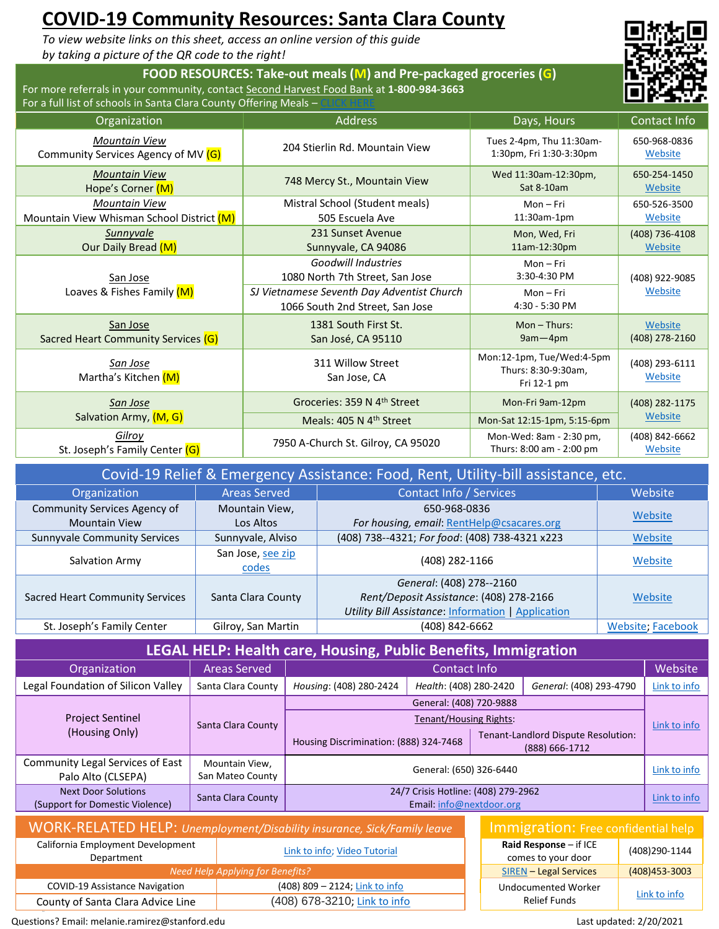# **COVID-19 Community Resources: Santa Clara County**

*To view website links on this sheet, access an online version of this guide by taking a picture of the QR code to the right!*

#### **FOOD RESOURCES: Take-out meals (M) and Pre-packaged groceries (G)** For more referrals in your community, contact [Second Harvest Food Bank](https://www.shfb.org/get-food/) at **1-800-984-3663**





| Organization                              | <b>Address</b>                                                                                                                                 | Days, Hours                                                     | Contact Info              |  |
|-------------------------------------------|------------------------------------------------------------------------------------------------------------------------------------------------|-----------------------------------------------------------------|---------------------------|--|
| <b>Mountain View</b>                      | 204 Stierlin Rd. Mountain View                                                                                                                 | Tues 2-4pm, Thu 11:30am-                                        | 650-968-0836              |  |
| Community Services Agency of MV (G)       |                                                                                                                                                | 1:30pm, Fri 1:30-3:30pm                                         | Website                   |  |
| <b>Mountain View</b>                      | 748 Mercy St., Mountain View                                                                                                                   | Wed 11:30am-12:30pm,                                            | 650-254-1450              |  |
| Hope's Corner (M)                         |                                                                                                                                                | Sat 8-10am                                                      | Website                   |  |
| <b>Mountain View</b>                      | Mistral School (Student meals)                                                                                                                 | $Mon-Fri$                                                       | 650-526-3500              |  |
| Mountain View Whisman School District (M) | 505 Escuela Ave                                                                                                                                | 11:30am-1pm                                                     | Website                   |  |
| Sunnyvale                                 | 231 Sunset Avenue                                                                                                                              | Mon, Wed, Fri                                                   | (408) 736-4108            |  |
| Our Daily Bread (M)                       | Sunnyvale, CA 94086                                                                                                                            | 11am-12:30pm                                                    | Website                   |  |
| San Jose<br>Loaves & Fishes Family (M)    | <b>Goodwill Industries</b><br>1080 North 7th Street, San Jose<br>SJ Vietnamese Seventh Day Adventist Church<br>1066 South 2nd Street, San Jose | $Mon-Fri$<br>3:30-4:30 PM<br>$Mon-Fri$<br>4:30 - 5:30 PM        | (408) 922-9085<br>Website |  |
| San Jose                                  | 1381 South First St.                                                                                                                           | $Mon - Thus:$                                                   | Website                   |  |
| Sacred Heart Community Services (G)       | San José, CA 95110                                                                                                                             | $9am - 4pm$                                                     | (408) 278-2160            |  |
| San Jose<br>Martha's Kitchen (M)          | 311 Willow Street<br>San Jose, CA                                                                                                              | Mon:12-1pm, Tue/Wed:4-5pm<br>Thurs: 8:30-9:30am,<br>Fri 12-1 pm | (408) 293-6111<br>Website |  |
| San Jose                                  | Groceries: 359 N 4 <sup>th</sup> Street                                                                                                        | Mon-Fri 9am-12pm                                                | (408) 282-1175            |  |
| Salvation Army, (M, G)                    | Meals: 405 N 4 <sup>th</sup> Street                                                                                                            | Mon-Sat 12:15-1pm, 5:15-6pm                                     | Website                   |  |
| Gilrov                                    | 7950 A-Church St. Gilroy, CA 95020                                                                                                             | Mon-Wed: 8am - 2:30 pm,                                         | (408) 842-6662            |  |
| St. Joseph's Family Center (G)            |                                                                                                                                                | Thurs: 8:00 am - 2:00 pm                                        | Website                   |  |

| Covid-19 Relief & Emergency Assistance: Food, Rent, Utility-bill assistance, etc. |                            |                                                           |                   |  |  |
|-----------------------------------------------------------------------------------|----------------------------|-----------------------------------------------------------|-------------------|--|--|
| Organization                                                                      | <b>Areas Served</b>        | Contact Info / Services                                   | Website           |  |  |
| Community Services Agency of                                                      | Mountain View,             | 650-968-0836                                              |                   |  |  |
| <b>Mountain View</b>                                                              | Los Altos                  | For housing, email: RentHelp@csacares.org                 | Website           |  |  |
| <b>Sunnyvale Community Services</b>                                               | Sunnyvale, Alviso          | (408) 738--4321; For food: (408) 738-4321 x223            | Website           |  |  |
| Salvation Army                                                                    | San Jose, see zip<br>codes | (408) 282-1166                                            | Website           |  |  |
|                                                                                   |                            | General: (408) 278--2160                                  |                   |  |  |
| <b>Sacred Heart Community Services</b>                                            | Santa Clara County         | Rent/Deposit Assistance: (408) 278-2166                   | Website           |  |  |
|                                                                                   |                            | <b>Utility Bill Assistance: Information   Application</b> |                   |  |  |
| St. Joseph's Family Center                                                        | Gilroy, San Martin         | (408) 842-6662                                            | Website; Facebook |  |  |

| LEGAL HELP: Health care, Housing, Public Benefits, Immigration |
|----------------------------------------------------------------|
|----------------------------------------------------------------|

| Organization                                                  | <b>Areas Served</b>                | Contact Info                                                    |                        |              |                                                       |  |                         |              |
|---------------------------------------------------------------|------------------------------------|-----------------------------------------------------------------|------------------------|--------------|-------------------------------------------------------|--|-------------------------|--------------|
| Legal Foundation of Silicon Valley                            | Santa Clara County                 | Housing: (408) 280-2424                                         | Health: (408) 280-2420 |              |                                                       |  | General: (408) 293-4790 | Link to info |
|                                                               |                                    | General: (408) 720-9888                                         |                        |              |                                                       |  |                         |              |
| <b>Project Sentinel</b>                                       | Santa Clara County                 | <b>Tenant/Housing Rights:</b>                                   |                        |              | Link to info                                          |  |                         |              |
| (Housing Only)                                                |                                    | Housing Discrimination: (888) 324-7468                          |                        |              | Tenant-Landlord Dispute Resolution:<br>(888) 666-1712 |  |                         |              |
| Community Legal Services of East<br>Palo Alto (CLSEPA)        | Mountain View,<br>San Mateo County | General: (650) 326-6440                                         |                        | Link to info |                                                       |  |                         |              |
| <b>Next Door Solutions</b><br>(Support for Domestic Violence) | Santa Clara County                 | 24/7 Crisis Hotline: (408) 279-2962<br>Email: info@nextdoor.org |                        | Link to info |                                                       |  |                         |              |
|                                                               |                                    |                                                                 |                        |              |                                                       |  |                         |              |

| <b>WORK-RELATED HELP:</b> Unemployment/Disability insurance, Sick/Family leave |                                  |  | Immigration: Free confidential help            |                   |
|--------------------------------------------------------------------------------|----------------------------------|--|------------------------------------------------|-------------------|
| California Employment Development<br>Department                                | Link to info; Video Tutorial     |  | Raid Response $-$ if ICE<br>comes to your door | (408)290-1144     |
|                                                                                | Need Help Applying for Benefits? |  | <b>SIREN</b> - Legal Services                  | $(408)453 - 3003$ |
| <b>COVID-19 Assistance Navigation</b>                                          | (408) 809 - 2124; Link to info   |  | <b>Undocumented Worker</b>                     |                   |
| County of Santa Clara Advice Line                                              | (408) 678-3210; Link to info     |  | Relief Funds                                   | Link to info      |

| Immigration: Free confidential help               |                |  |  |  |
|---------------------------------------------------|----------------|--|--|--|
| Raid Response $-$ if ICE<br>comes to your door    | (408)290-1144  |  |  |  |
| <b>SIREN - Legal Services</b>                     | (408) 453-3003 |  |  |  |
| <b>Undocumented Worker</b><br><b>Relief Funds</b> | Link to info   |  |  |  |

Questions? Email: melanie.ramirez@stanford.edu Last updated: 2/20/2021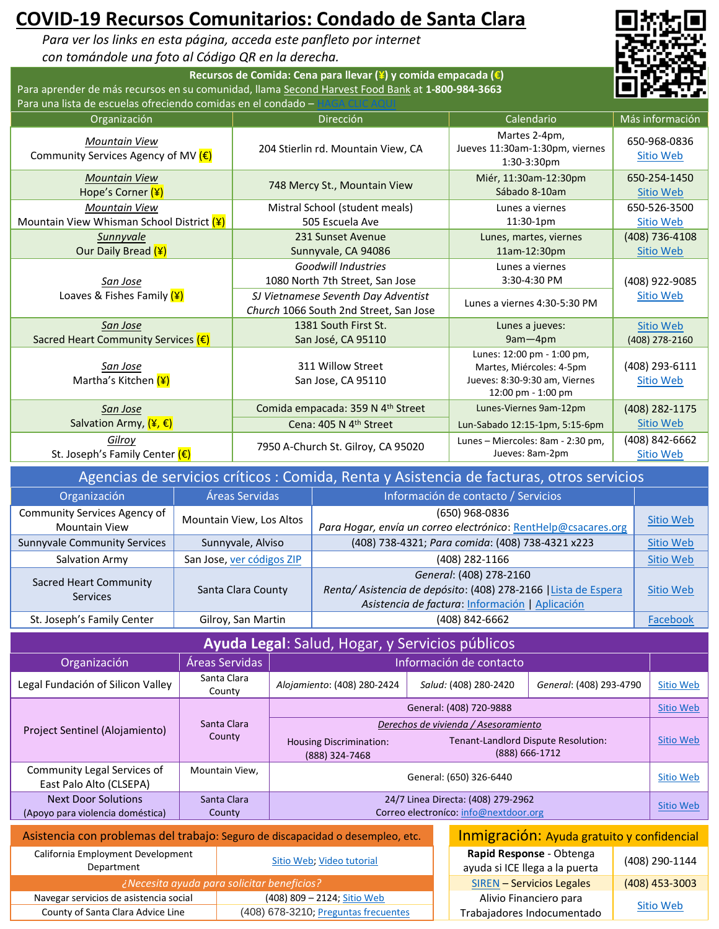# **COVID-19 Recursos Comunitarios: Condado de Santa Clara**

*Para ver los links en esta página, acceda este panfleto por internet con tomándole una foto al Código QR en la derecha.*

**Recursos de Comida: Cena para llevar (¥) y comida empacada (€)** Para aprender de más recursos en su comunidad, llama [Second Harvest Food Bank](https://www.shfb.org/get-food/) at **1-800-984-3663** Para una lista de escuelas ofreciendo comidas en el condado -



| Organización                                                | Dirección                                                                                                                                      | Calendario                                                                                                    | Más información                    |
|-------------------------------------------------------------|------------------------------------------------------------------------------------------------------------------------------------------------|---------------------------------------------------------------------------------------------------------------|------------------------------------|
| <b>Mountain View</b><br>Community Services Agency of MV (€) | 204 Stierlin rd. Mountain View, CA                                                                                                             | Martes 2-4pm,<br>Jueves 11:30am-1:30pm, viernes<br>$1:30-3:30$ pm                                             | 650-968-0836<br>Sitio Web          |
| <b>Mountain View</b>                                        | 748 Mercy St., Mountain View                                                                                                                   | Miér, 11:30am-12:30pm                                                                                         | 650-254-1450                       |
| Hope's Corner (¥)                                           |                                                                                                                                                | Sábado 8-10am                                                                                                 | Sitio Web                          |
| <b>Mountain View</b>                                        | Mistral School (student meals)                                                                                                                 | Lunes a viernes                                                                                               | 650-526-3500                       |
| Mountain View Whisman School District (¥)                   | 505 Escuela Ave                                                                                                                                | $11:30-1pm$                                                                                                   | Sitio Web                          |
| Sunnyvale                                                   | 231 Sunset Avenue                                                                                                                              | Lunes, martes, viernes                                                                                        | (408) 736-4108                     |
| Our Daily Bread (¥)                                         | Sunnyvale, CA 94086                                                                                                                            | 11am-12:30pm                                                                                                  | Sitio Web                          |
| San Jose<br>Loaves & Fishes Family (¥)                      | <b>Goodwill Industries</b><br>1080 North 7th Street, San Jose<br>SJ Vietnamese Seventh Day Adventist<br>Church 1066 South 2nd Street, San Jose | Lunes a viernes<br>3:30-4:30 PM<br>Lunes a viernes 4:30-5:30 PM                                               | (408) 922-9085<br><b>Sitio Web</b> |
| San Jose                                                    | 1381 South First St.                                                                                                                           | Lunes a jueves:                                                                                               | Sitio Web                          |
| Sacred Heart Community Services $(\epsilon)$                | San José, CA 95110                                                                                                                             | $9am - 4pm$                                                                                                   | (408) 278-2160                     |
| <u>San Jose</u><br>Martha's Kitchen (¥)                     | 311 Willow Street<br>San Jose, CA 95110                                                                                                        | Lunes: 12:00 pm - 1:00 pm,<br>Martes, Miércoles: 4-5pm<br>Jueves: 8:30-9:30 am, Viernes<br>12:00 pm - 1:00 pm | (408) 293-6111<br>Sitio Web        |
| San Jose                                                    | Comida empacada: 359 N 4 <sup>th</sup> Street                                                                                                  | Lunes-Viernes 9am-12pm                                                                                        | (408) 282-1175                     |
| Salvation Army, $(\frac{4}{5}, \epsilon)$                   | Cena: 405 N 4th Street                                                                                                                         | Lun-Sabado 12:15-1pm, 5:15-6pm                                                                                | Sitio Web                          |
| <b>Gilroy</b>                                               | 7950 A-Church St. Gilroy, CA 95020                                                                                                             | Lunes - Miercoles: 8am - 2:30 pm,                                                                             | (408) 842-6662                     |
| St. Joseph's Family Center (€)                              |                                                                                                                                                | Jueves: 8am-2pm                                                                                               | Sitio Web                          |

| Agencias de servicios críticos : Comida, Renta y Asistencia de facturas, otros servicios |                           |                                                                                                                                              |                  |  |
|------------------------------------------------------------------------------------------|---------------------------|----------------------------------------------------------------------------------------------------------------------------------------------|------------------|--|
| Organización                                                                             | Áreas Servidas            | Información de contacto / Servicios                                                                                                          |                  |  |
| Community Services Agency of<br><b>Mountain View</b>                                     | Mountain View, Los Altos  | (650) 968-0836<br>Para Hogar, envía un correo electrónico: RentHelp@csacares.org                                                             | Sitio Web        |  |
| <b>Sunnyvale Community Services</b>                                                      | Sunnyvale, Alviso         | (408) 738-4321; Para comida: (408) 738-4321 x223                                                                                             | <b>Sitio Web</b> |  |
| Salvation Army                                                                           | San Jose, ver códigos ZIP | (408) 282-1166                                                                                                                               | Sitio Web        |  |
| Sacred Heart Community<br><b>Services</b>                                                | Santa Clara County        | General: (408) 278-2160<br>Renta/Asistencia de depósito: (408) 278-2166   Lista de Espera<br>Asistencia de factura: Información   Aplicación | Sitio Web        |  |
| St. Joseph's Family Center                                                               | Gilroy, San Martin        | (408) 842-6662                                                                                                                               | Facebook         |  |

| Ayuda Legal: Salud, Hogar, y Servicios públicos                                                                                                                                                                                 |                       |                                                  |                         |                                                       |                  |  |
|---------------------------------------------------------------------------------------------------------------------------------------------------------------------------------------------------------------------------------|-----------------------|--------------------------------------------------|-------------------------|-------------------------------------------------------|------------------|--|
| Organización                                                                                                                                                                                                                    | Áreas Servidas        |                                                  | Información de contacto |                                                       |                  |  |
| Legal Fundación of Silicon Valley                                                                                                                                                                                               | Santa Clara<br>County | Alojamiento: (408) 280-2424                      | Salud: (408) 280-2420   | General: (408) 293-4790                               | <b>Sitio Web</b> |  |
|                                                                                                                                                                                                                                 |                       |                                                  | General: (408) 720-9888 |                                                       | <b>Sitio Web</b> |  |
| Project Sentinel (Alojamiento)                                                                                                                                                                                                  | Santa Clara           | Derechos de vivienda / Asesoramiento             |                         |                                                       |                  |  |
|                                                                                                                                                                                                                                 | County                | <b>Housing Discrimination:</b><br>(888) 324-7468 |                         | Tenant-Landlord Dispute Resolution:<br>(888) 666-1712 | Sitio Web        |  |
| Community Legal Services of<br>East Palo Alto (CLSEPA)                                                                                                                                                                          | Mountain View,        | General: (650) 326-6440                          |                         |                                                       | Sitio Web        |  |
| <b>Next Door Solutions</b>                                                                                                                                                                                                      | Santa Clara           | 24/7 Linea Directa: (408) 279-2962               |                         |                                                       | Sitio Web        |  |
| (Apoyo para violencia doméstica)                                                                                                                                                                                                | County                | Correo electroníco: info@nextdoor.org            |                         |                                                       |                  |  |
| $\sim$ . The contract of the contract of the contract of the contract of the contract of the contract of the contract of the contract of the contract of the contract of the contract of the contract of the contract of the co |                       |                                                  | .                       |                                                       |                  |  |

| Asistencia con problemas del trabajo: Seguro de discapacidad o desempleo, etc. |                                      |  | Inmigración: Ayuda gratuito y confidencial                 |                  |
|--------------------------------------------------------------------------------|--------------------------------------|--|------------------------------------------------------------|------------------|
| California Employment Development<br>Department                                | Sitio Web: Video tutorial            |  | Rapid Response - Obtenga<br>ayuda si ICE llega a la puerta | (408) 290-1144   |
| i ¿Necesita ayuda para solicitar beneficios?                                   |                                      |  | <b>SIREN - Servicios Legales</b>                           | $(408)$ 453-3003 |
| Navegar servicios de asistencia social                                         | (408) 809 - 2124; Sitio Web          |  | Alivio Financiero para                                     |                  |
| County of Santa Clara Advice Line                                              | (408) 678-3210; Preguntas frecuentes |  | Trabajadores Indocumentado                                 | Sitio Web        |